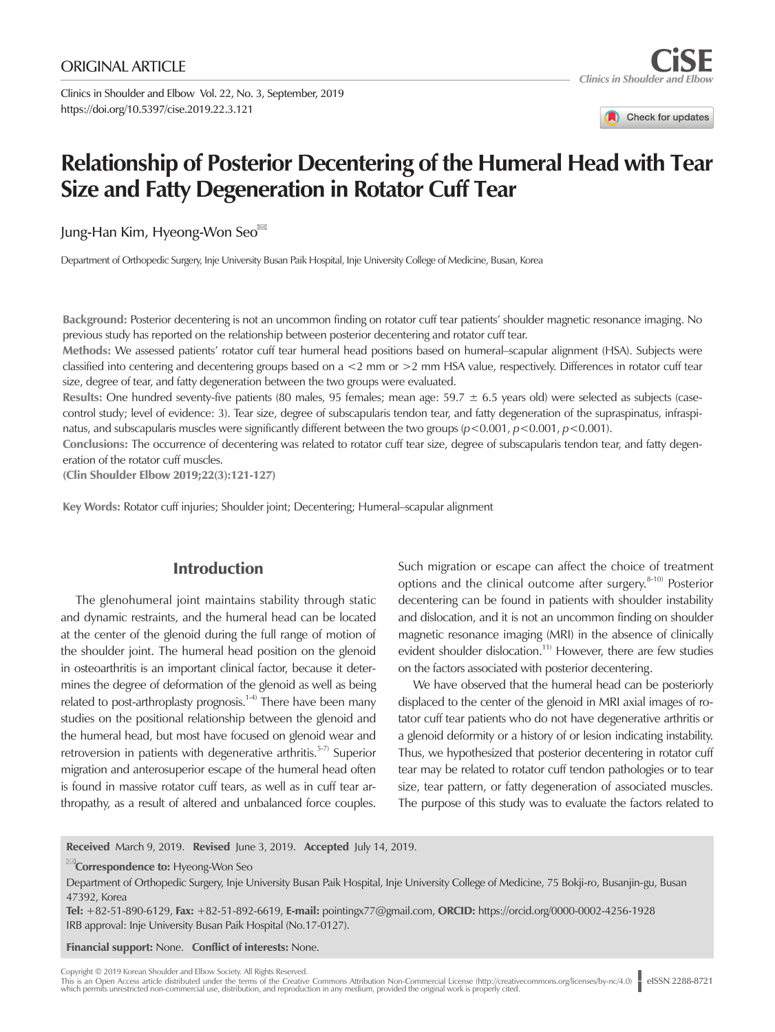Clinics in Shoulder and Elbow Vol. 22, No. 3, September, 2019 https://doi.org/10.5397/cise.2019.22.3.121

Check for updates

# **Relationship of Posterior Decentering of the Humeral Head with Tear Size and Fatty Degeneration in Rotator Cuff Tear**

Jung-Han Kim, Hyeong-Won Seo

Department of Orthopedic Surgery, Inje University Busan Paik Hospital, Inje University College of Medicine, Busan, Korea

Background: Posterior decentering is not an uncommon finding on rotator cuff tear patients' shoulder magnetic resonance imaging. No previous study has reported on the relationship between posterior decentering and rotator cuff tear.

Methods: We assessed patients' rotator cuff tear humeral head positions based on humeral–scapular alignment (HSA). Subjects were classified into centering and decentering groups based on a <2 mm or >2 mm HSA value, respectively. Differences in rotator cuff tear size, degree of tear, and fatty degeneration between the two groups were evaluated.

**Results:** One hundred seventy-five patients (80 males, 95 females; mean age:  $59.7 \pm 6.5$  years old) were selected as subjects (casecontrol study; level of evidence: 3). Tear size, degree of subscapularis tendon tear, and fatty degeneration of the supraspinatus, infraspinatus, and subscapularis muscles were significantly different between the two groups (*p*<0.001, *p*<0.001, *p*<0.001).

Conclusions: The occurrence of decentering was related to rotator cuff tear size, degree of subscapularis tendon tear, and fatty degeneration of the rotator cuff muscles.

(Clin Shoulder Elbow 2019;22(3):121-127)

Key Words: Rotator cuff injuries; Shoulder joint; Decentering; Humeral–scapular alignment

# Introduction

The glenohumeral joint maintains stability through static and dynamic restraints, and the humeral head can be located at the center of the glenoid during the full range of motion of the shoulder joint. The humeral head position on the glenoid in osteoarthritis is an important clinical factor, because it determines the degree of deformation of the glenoid as well as being related to post-arthroplasty prognosis.<sup>1-4)</sup> There have been many studies on the positional relationship between the glenoid and the humeral head, but most have focused on glenoid wear and retroversion in patients with degenerative arthritis.<sup>5-7)</sup> Superior migration and anterosuperior escape of the humeral head often is found in massive rotator cuff tears, as well as in cuff tear arthropathy, as a result of altered and unbalanced force couples.

Such migration or escape can affect the choice of treatment options and the clinical outcome after surgery. $8-10$ ) Posterior decentering can be found in patients with shoulder instability and dislocation, and it is not an uncommon finding on shoulder magnetic resonance imaging (MRI) in the absence of clinically evident shoulder dislocation.<sup>11)</sup> However, there are few studies on the factors associated with posterior decentering.

We have observed that the humeral head can be posteriorly displaced to the center of the glenoid in MRI axial images of rotator cuff tear patients who do not have degenerative arthritis or a glenoid deformity or a history of or lesion indicating instability. Thus, we hypothesized that posterior decentering in rotator cuff tear may be related to rotator cuff tendon pathologies or to tear size, tear pattern, or fatty degeneration of associated muscles. The purpose of this study was to evaluate the factors related to

Received March 9, 2019. Revised June 3, 2019. Accepted July 14, 2019.

**Examplemento:** Hyeong-Won Seo

Tel: +82-51-890-6129, Fax: +82-51-892-6619, E-mail: pointingx77@gmail.com, ORCID: https://orcid.org/0000-0002-4256-1928 IRB approval: Inje University Busan Paik Hospital (No.17-0127).

Financial support: None. Conflict of interests: None.

Copyright © 2019 Korean Shoulder and Elbow Society. All Rights Reserved.

This is an Open Access article distributed under the terms of the Creative Commons Attribution Non-Commercial License (http://creativecommons.org/licenses/by-nc/4.0) | eISSN 2288-8721<br>which permits unrestricted non-commerc

Department of Orthopedic Surgery, Inje University Busan Paik Hospital, Inje University College of Medicine, 75 Bokji-ro, Busanjin-gu, Busan 47392, Korea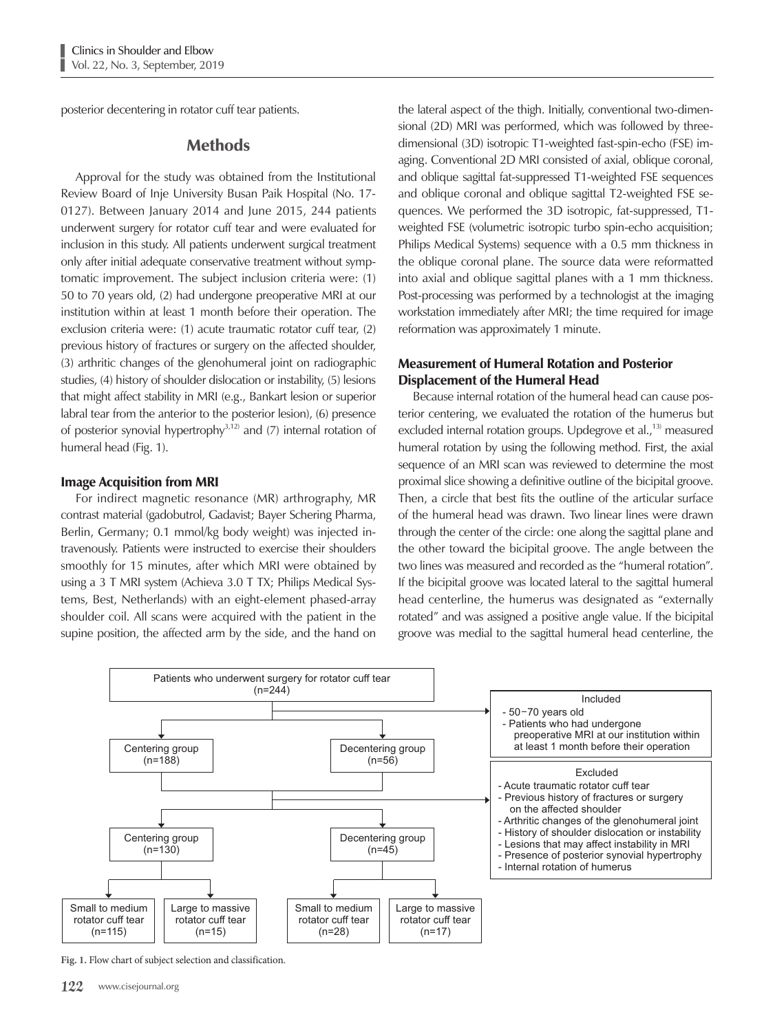posterior decentering in rotator cuff tear patients.

## **Methods**

Approval for the study was obtained from the Institutional Review Board of Inje University Busan Paik Hospital (No. 17- 0127). Between January 2014 and June 2015, 244 patients underwent surgery for rotator cuff tear and were evaluated for inclusion in this study. All patients underwent surgical treatment only after initial adequate conservative treatment without symptomatic improvement. The subject inclusion criteria were: (1) 50 to 70 years old, (2) had undergone preoperative MRI at our institution within at least 1 month before their operation. The exclusion criteria were: (1) acute traumatic rotator cuff tear, (2) previous history of fractures or surgery on the affected shoulder, (3) arthritic changes of the glenohumeral joint on radiographic studies, (4) history of shoulder dislocation or instability, (5) lesions that might affect stability in MRI (e.g., Bankart lesion or superior labral tear from the anterior to the posterior lesion), (6) presence of posterior synovial hypertrophy $3,12)$  and (7) internal rotation of humeral head (Fig. 1).

## Image Acquisition from MRI

For indirect magnetic resonance (MR) arthrography, MR contrast material (gadobutrol, Gadavist; Bayer Schering Pharma, Berlin, Germany; 0.1 mmol/kg body weight) was injected intravenously. Patients were instructed to exercise their shoulders smoothly for 15 minutes, after which MRI were obtained by using a 3 T MRI system (Achieva 3.0 T TX; Philips Medical Systems, Best, Netherlands) with an eight-element phased-array shoulder coil. All scans were acquired with the patient in the supine position, the affected arm by the side, and the hand on the lateral aspect of the thigh. Initially, conventional two-dimensional (2D) MRI was performed, which was followed by threedimensional (3D) isotropic T1-weighted fast-spin-echo (FSE) imaging. Conventional 2D MRI consisted of axial, oblique coronal, and oblique sagittal fat-suppressed T1-weighted FSE sequences and oblique coronal and oblique sagittal T2-weighted FSE sequences. We performed the 3D isotropic, fat-suppressed, T1 weighted FSE (volumetric isotropic turbo spin-echo acquisition; Philips Medical Systems) sequence with a 0.5 mm thickness in the oblique coronal plane. The source data were reformatted into axial and oblique sagittal planes with a 1 mm thickness. Post-processing was performed by a technologist at the imaging workstation immediately after MRI; the time required for image reformation was approximately 1 minute.

## Measurement of Humeral Rotation and Posterior Displacement of the Humeral Head

Because internal rotation of the humeral head can cause posterior centering, we evaluated the rotation of the humerus but excluded internal rotation groups. Updegrove et al.,<sup>13)</sup> measured humeral rotation by using the following method. First, the axial sequence of an MRI scan was reviewed to determine the most proximal slice showing a definitive outline of the bicipital groove. Then, a circle that best fits the outline of the articular surface of the humeral head was drawn. Two linear lines were drawn through the center of the circle: one along the sagittal plane and the other toward the bicipital groove. The angle between the two lines was measured and recorded as the "humeral rotation". If the bicipital groove was located lateral to the sagittal humeral head centerline, the humerus was designated as "externally rotated" and was assigned a positive angle value. If the bicipital groove was medial to the sagittal humeral head centerline, the



**Fig. 1.** Flow chart of subject selection and classification.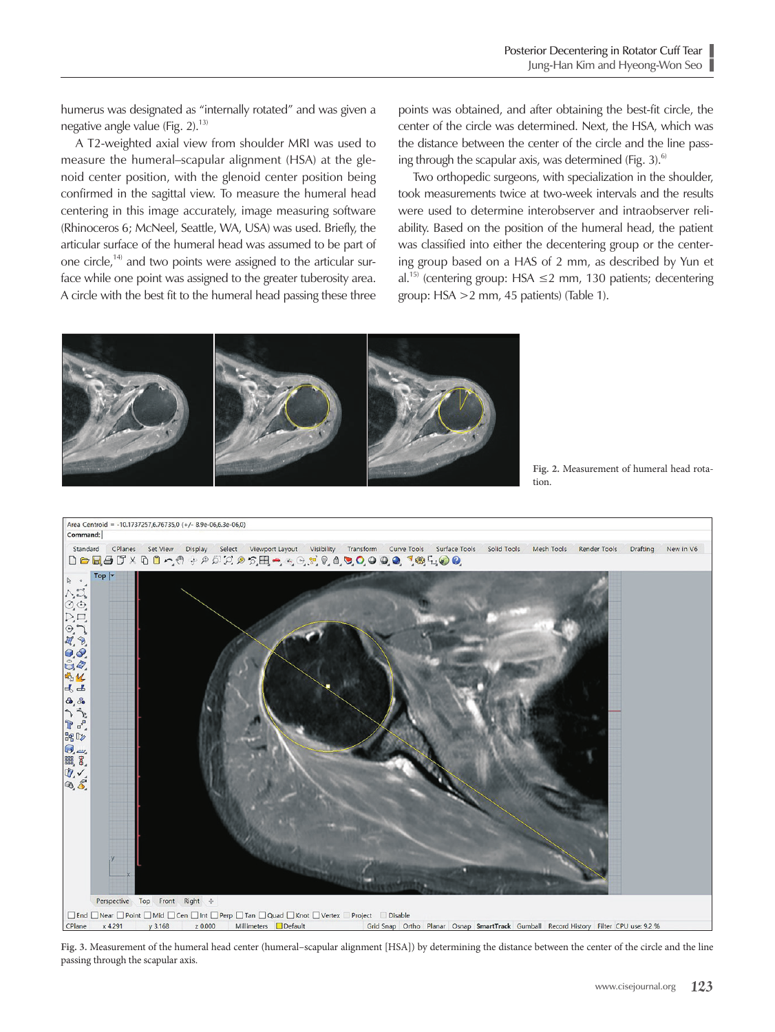humerus was designated as "internally rotated" and was given a negative angle value (Fig.  $2$ ).<sup>13)</sup>

A T2-weighted axial view from shoulder MRI was used to measure the humeral–scapular alignment (HSA) at the glenoid center position, with the glenoid center position being confirmed in the sagittal view. To measure the humeral head centering in this image accurately, image measuring software (Rhinoceros 6; McNeel, Seattle, WA, USA) was used. Briefly, the articular surface of the humeral head was assumed to be part of one circle,<sup>14)</sup> and two points were assigned to the articular surface while one point was assigned to the greater tuberosity area. A circle with the best fit to the humeral head passing these three points was obtained, and after obtaining the best-fit circle, the center of the circle was determined. Next, the HSA, which was the distance between the center of the circle and the line passing through the scapular axis, was determined (Fig. 3). $^{6}$ 

Two orthopedic surgeons, with specialization in the shoulder, took measurements twice at two-week intervals and the results were used to determine interobserver and intraobserver reliability. Based on the position of the humeral head, the patient was classified into either the decentering group or the centering group based on a HAS of 2 mm, as described by Yun et al.<sup>15)</sup> (centering group: HSA  $\leq$ 2 mm, 130 patients; decentering group: HSA >2 mm, 45 patients) (Table 1).



**Fig. 2.** Measurement of humeral head rotation.



**Fig. 3.** Measurement of the humeral head center (humeral–scapular alignment [HSA]) by determining the distance between the center of the circle and the line passing through the scapular axis.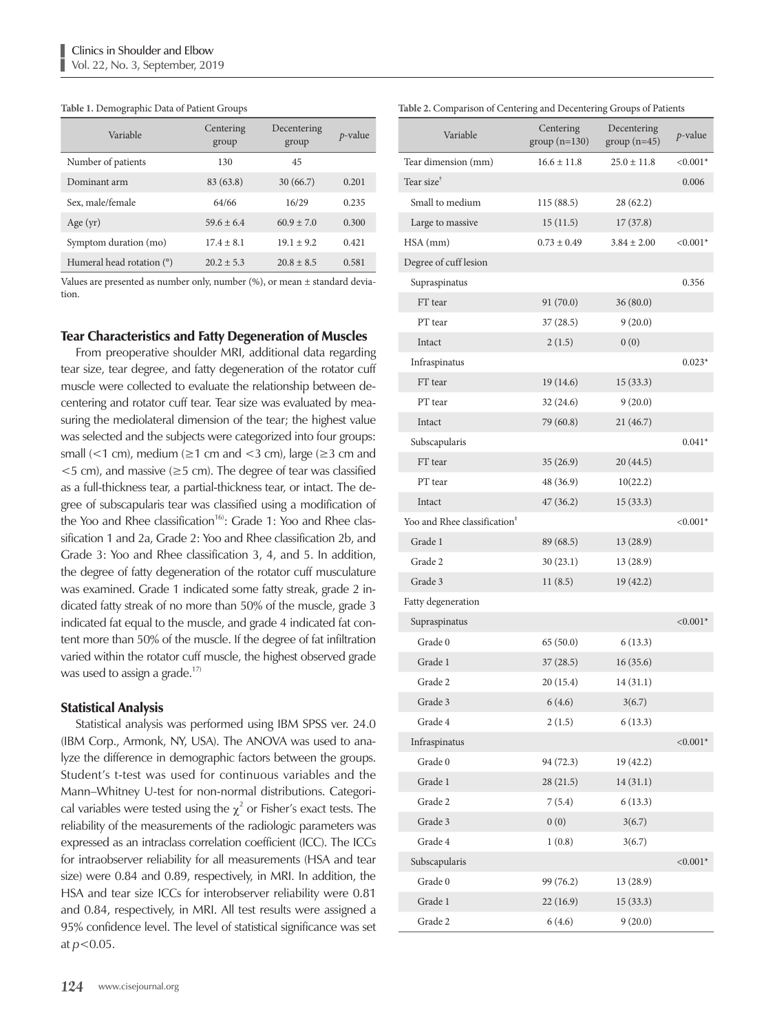#### **Table 1.** Demographic Data of Patient Groups

| Variable                  | Centering<br>group | Decentering<br>group | $p$ -value |
|---------------------------|--------------------|----------------------|------------|
| Number of patients        | 130                | 45                   |            |
| Dominant arm              | 83 (63.8)          | 30(66.7)             | 0.201      |
| Sex, male/female          | 64/66              | 16/29                | 0.235      |
| Age $(yr)$                | $59.6 + 6.4$       | $60.9 + 7.0$         | 0.300      |
| Symptom duration (mo)     | $17.4 + 8.1$       | $19.1 + 9.2$         | 0.421      |
| Humeral head rotation (°) | $20.2 + 5.3$       | $20.8 + 8.5$         | 0.581      |

Values are presented as number only, number (%), or mean ± standard deviation.

#### Tear Characteristics and Fatty Degeneration of Muscles

From preoperative shoulder MRI, additional data regarding tear size, tear degree, and fatty degeneration of the rotator cuff muscle were collected to evaluate the relationship between decentering and rotator cuff tear. Tear size was evaluated by measuring the mediolateral dimension of the tear; the highest value was selected and the subjects were categorized into four groups: small (<1 cm), medium ( $\ge$ 1 cm and <3 cm), large ( $\ge$ 3 cm and  $<$ 5 cm), and massive ( $\geq$ 5 cm). The degree of tear was classified as a full-thickness tear, a partial-thickness tear, or intact. The degree of subscapularis tear was classified using a modification of the Yoo and Rhee classification<sup>16</sup>: Grade 1: Yoo and Rhee classification 1 and 2a, Grade 2: Yoo and Rhee classification 2b, and Grade 3: Yoo and Rhee classification 3, 4, and 5. In addition, the degree of fatty degeneration of the rotator cuff musculature was examined. Grade 1 indicated some fatty streak, grade 2 indicated fatty streak of no more than 50% of the muscle, grade 3 indicated fat equal to the muscle, and grade 4 indicated fat content more than 50% of the muscle. If the degree of fat infiltration varied within the rotator cuff muscle, the highest observed grade was used to assign a grade.<sup>17)</sup>

### Statistical Analysis

Statistical analysis was performed using IBM SPSS ver. 24.0 (IBM Corp., Armonk, NY, USA). The ANOVA was used to analyze the difference in demographic factors between the groups. Student's t-test was used for continuous variables and the Mann–Whitney U-test for non-normal distributions. Categorical variables were tested using the  $\chi^2$  or Fisher's exact tests. The reliability of the measurements of the radiologic parameters was expressed as an intraclass correlation coefficient (ICC). The ICCs for intraobserver reliability for all measurements (HSA and tear size) were 0.84 and 0.89, respectively, in MRI. In addition, the HSA and tear size ICCs for interobserver reliability were 0.81 and 0.84, respectively, in MRI. All test results were assigned a 95% confidence level. The level of statistical significance was set at *p*<0.05.

| able 2. Comparison of Centering and Decentering Groups of Patients |                             |                              |             |  |  |
|--------------------------------------------------------------------|-----------------------------|------------------------------|-------------|--|--|
| Variable                                                           | Centering<br>$group(n=130)$ | Decentering<br>$group(n=45)$ | $p$ -value  |  |  |
| Tear dimension (mm)                                                | $16.6 \pm 11.8$             | $25.0 \pm 11.8$              | $< 0.001*$  |  |  |
| Tear size <sup>†</sup>                                             |                             |                              | 0.006       |  |  |
| Small to medium                                                    | 115(88.5)                   | 28 (62.2)                    |             |  |  |
| Large to massive                                                   | 15(11.5)                    | 17(37.8)                     |             |  |  |
| HSA (mm)                                                           | $0.73 \pm 0.49$             | $3.84 \pm 2.00$              | $< 0.001*$  |  |  |
| Degree of cuff lesion                                              |                             |                              |             |  |  |
| Supraspinatus                                                      |                             |                              | 0.356       |  |  |
| FT tear                                                            | 91(70.0)                    | 36(80.0)                     |             |  |  |
| PT tear                                                            | 37(28.5)                    | 9(20.0)                      |             |  |  |
| Intact                                                             | 2(1.5)                      | 0(0)                         |             |  |  |
| Infraspinatus                                                      |                             |                              | $0.023*$    |  |  |
| FT tear                                                            | 19(14.6)                    | 15(33.3)                     |             |  |  |
| PT tear                                                            | 32 (24.6)                   | 9(20.0)                      |             |  |  |
| Intact                                                             | 79 (60.8)                   | 21 (46.7)                    |             |  |  |
| Subscapularis                                                      |                             |                              | $0.041*$    |  |  |
| FT tear                                                            | 35(26.9)                    | 20 (44.5)                    |             |  |  |
| PT tear                                                            | 48 (36.9)                   | 10(22.2)                     |             |  |  |
| Intact                                                             | 47 (36.2)                   | 15(33.3)                     |             |  |  |
| Yoo and Rhee classification <sup>#</sup>                           |                             |                              | $< 0.001*$  |  |  |
| Grade 1                                                            | 89 (68.5)                   | 13 (28.9)                    |             |  |  |
| Grade 2                                                            | 30(23.1)                    | 13 (28.9)                    |             |  |  |
| Grade 3                                                            | 11(8.5)                     | 19 (42.2)                    |             |  |  |
| Fatty degeneration                                                 |                             |                              |             |  |  |
| Supraspinatus                                                      |                             |                              | ${<}0.001*$ |  |  |
| Grade 0                                                            | 65 (50.0)                   | 6(13.3)                      |             |  |  |
| Grade 1                                                            | 37(28.5)                    | 16(35.6)                     |             |  |  |
| Grade 2                                                            | 20 (15.4)                   | 14 (31.1)                    |             |  |  |
| Grade 3                                                            | 6(4.6)                      | 3(6.7)                       |             |  |  |
| Grade 4                                                            | 2(1.5)                      | 6(13.3)                      |             |  |  |
| Infraspinatus                                                      |                             |                              | $< 0.001*$  |  |  |
| Grade 0                                                            | 94 (72.3)                   | 19 (42.2)                    |             |  |  |
| Grade 1                                                            | 28(21.5)                    | 14(31.1)                     |             |  |  |
| Grade 2                                                            | 7(5.4)                      | 6(13.3)                      |             |  |  |
| Grade 3                                                            | 0(0)                        | 3(6.7)                       |             |  |  |
| Grade 4                                                            | 1(0.8)                      | 3(6.7)                       |             |  |  |
| Subscapularis                                                      |                             |                              | $< 0.001*$  |  |  |
| Grade 0                                                            | 99 (76.2)                   | 13(28.9)                     |             |  |  |
| Grade 1                                                            | 22(16.9)                    | 15(33.3)                     |             |  |  |
| Grade 2                                                            | 6(4.6)                      | 9(20.0)                      |             |  |  |

#### **Table 2.** Comparison of Centering and Decentering Groups of Patients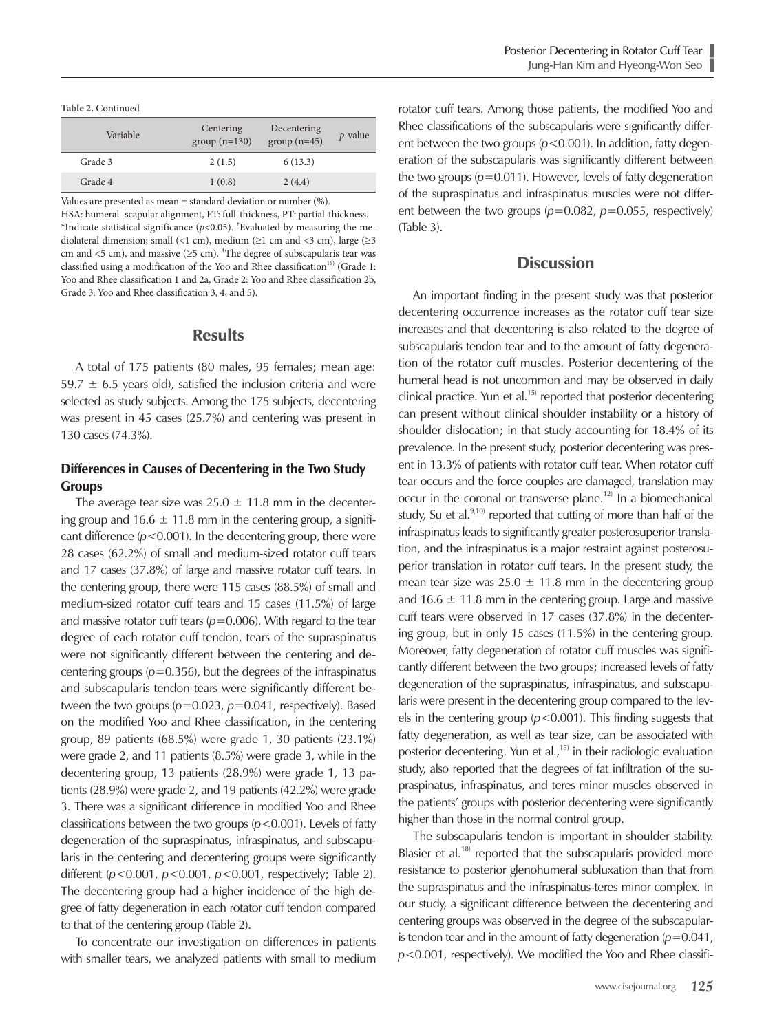**Table 2.** Continued

| Variable | Centering<br>$group(n=130)$ | Decentering<br>$group(n=45)$ | $p$ -value |
|----------|-----------------------------|------------------------------|------------|
| Grade 3  | 2(1.5)                      | 6(13.3)                      |            |
| Grade 4  | 1(0.8)                      | 2(4.4)                       |            |

Values are presented as mean  $\pm$  standard deviation or number (%). HSA: humeral–scapular alignment, FT: full-thickness, PT: partial-thickness. \*Indicate statistical significance (*p*<0.05). † Evaluated by measuring the mediolateral dimension; small (<1 cm), medium (≥1 cm and <3 cm), large (≥3 cm and <5 cm), and massive ( $\ge$ 5 cm). <sup>‡</sup>The degree of subscapularis tear was classified using a modification of the Yoo and Rhee classification<sup>16)</sup> (Grade 1: Yoo and Rhee classification 1 and 2a, Grade 2: Yoo and Rhee classification 2b, Grade 3: Yoo and Rhee classification 3, 4, and 5).

## **Results**

A total of 175 patients (80 males, 95 females; mean age: 59.7  $\pm$  6.5 years old), satisfied the inclusion criteria and were selected as study subjects. Among the 175 subjects, decentering was present in 45 cases (25.7%) and centering was present in 130 cases (74.3%).

## Differences in Causes of Decentering in the Two Study **Groups**

The average tear size was  $25.0 \pm 11.8$  mm in the decentering group and  $16.6 \pm 11.8$  mm in the centering group, a significant difference (*p*<0.001). In the decentering group, there were 28 cases (62.2%) of small and medium-sized rotator cuff tears and 17 cases (37.8%) of large and massive rotator cuff tears. In the centering group, there were 115 cases (88.5%) of small and medium-sized rotator cuff tears and 15 cases (11.5%) of large and massive rotator cuff tears ( $p$ =0.006). With regard to the tear degree of each rotator cuff tendon, tears of the supraspinatus were not significantly different between the centering and decentering groups  $(p=0.356)$ , but the degrees of the infraspinatus and subscapularis tendon tears were significantly different between the two groups ( $p=0.023$ ,  $p=0.041$ , respectively). Based on the modified Yoo and Rhee classification, in the centering group, 89 patients (68.5%) were grade 1, 30 patients (23.1%) were grade 2, and 11 patients (8.5%) were grade 3, while in the decentering group, 13 patients (28.9%) were grade 1, 13 patients (28.9%) were grade 2, and 19 patients (42.2%) were grade 3. There was a significant difference in modified Yoo and Rhee classifications between the two groups (*p*<0.001). Levels of fatty degeneration of the supraspinatus, infraspinatus, and subscapularis in the centering and decentering groups were significantly different (*p*<0.001, *p*<0.001, *p*<0.001, respectively; Table 2). The decentering group had a higher incidence of the high degree of fatty degeneration in each rotator cuff tendon compared to that of the centering group (Table 2).

To concentrate our investigation on differences in patients with smaller tears, we analyzed patients with small to medium rotator cuff tears. Among those patients, the modified Yoo and Rhee classifications of the subscapularis were significantly different between the two groups ( $p$ <0.001). In addition, fatty degeneration of the subscapularis was significantly different between the two groups (*p*=0.011). However, levels of fatty degeneration of the supraspinatus and infraspinatus muscles were not different between the two groups (*p*=0.082, *p*=0.055, respectively) (Table 3).

## **Discussion**

An important finding in the present study was that posterior decentering occurrence increases as the rotator cuff tear size increases and that decentering is also related to the degree of subscapularis tendon tear and to the amount of fatty degeneration of the rotator cuff muscles. Posterior decentering of the humeral head is not uncommon and may be observed in daily clinical practice. Yun et al.<sup>15)</sup> reported that posterior decentering can present without clinical shoulder instability or a history of shoulder dislocation; in that study accounting for 18.4% of its prevalence. In the present study, posterior decentering was present in 13.3% of patients with rotator cuff tear. When rotator cuff tear occurs and the force couples are damaged, translation may occur in the coronal or transverse plane.<sup>12)</sup> In a biomechanical study, Su et al. $9,10)$  reported that cutting of more than half of the infraspinatus leads to significantly greater posterosuperior translation, and the infraspinatus is a major restraint against posterosuperior translation in rotator cuff tears. In the present study, the mean tear size was  $25.0 \pm 11.8$  mm in the decentering group and 16.6  $\pm$  11.8 mm in the centering group. Large and massive cuff tears were observed in 17 cases (37.8%) in the decentering group, but in only 15 cases (11.5%) in the centering group. Moreover, fatty degeneration of rotator cuff muscles was significantly different between the two groups; increased levels of fatty degeneration of the supraspinatus, infraspinatus, and subscapularis were present in the decentering group compared to the levels in the centering group (*p*<0.001). This finding suggests that fatty degeneration, as well as tear size, can be associated with posterior decentering. Yun et al.,<sup>15)</sup> in their radiologic evaluation study, also reported that the degrees of fat infiltration of the supraspinatus, infraspinatus, and teres minor muscles observed in the patients' groups with posterior decentering were significantly higher than those in the normal control group.

The subscapularis tendon is important in shoulder stability. Blasier et al.<sup>18)</sup> reported that the subscapularis provided more resistance to posterior glenohumeral subluxation than that from the supraspinatus and the infraspinatus-teres minor complex. In our study, a significant difference between the decentering and centering groups was observed in the degree of the subscapularis tendon tear and in the amount of fatty degeneration  $(p=0.041)$ , *p*<0.001, respectively). We modified the Yoo and Rhee classifi-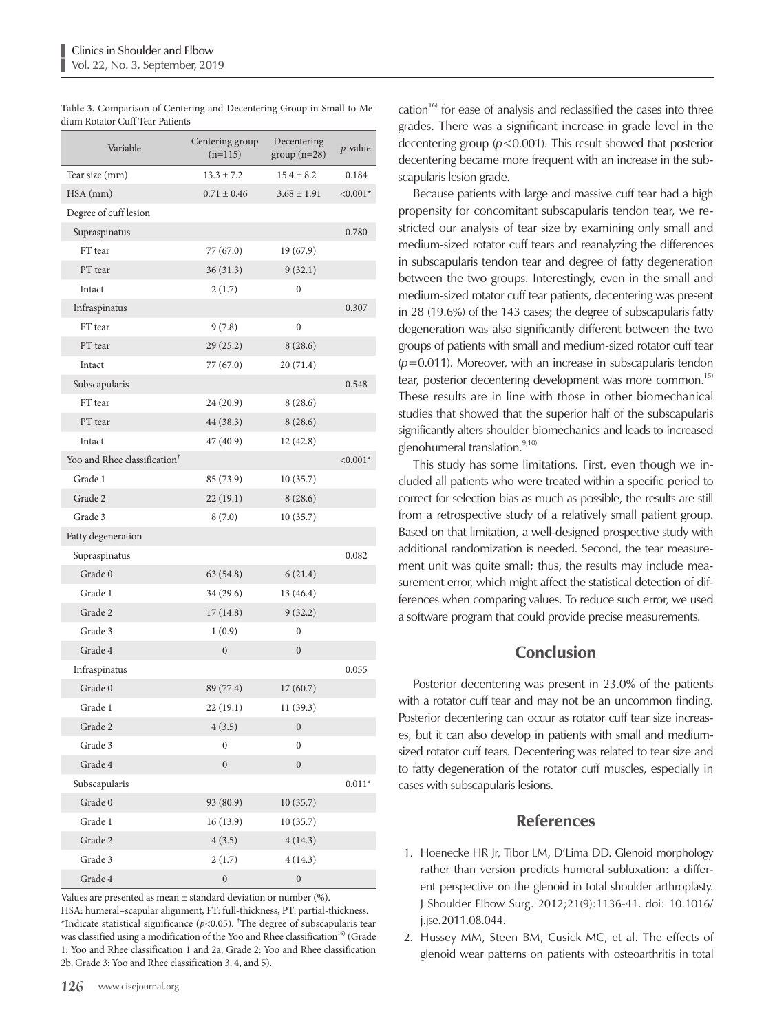| Variable                                 | Centering group<br>$(n=115)$ | Decentering<br>$group(n=28)$ | $p$ -value |
|------------------------------------------|------------------------------|------------------------------|------------|
| Tear size (mm)                           | $13.3 + 7.2$                 | $15.4 \pm 8.2$               | 0.184      |
| HSA (mm)                                 | $0.71 \pm 0.46$              | $3.68 \pm 1.91$              | $< 0.001*$ |
| Degree of cuff lesion                    |                              |                              |            |
| Supraspinatus                            |                              |                              | 0.780      |
| FT tear                                  | 77 (67.0)                    | 19 (67.9)                    |            |
| PT tear                                  | 36(31.3)                     | 9(32.1)                      |            |
| Intact                                   | 2(1.7)                       | 0                            |            |
| Infraspinatus                            |                              |                              | 0.307      |
| FT tear                                  | 9(7.8)                       | $\boldsymbol{0}$             |            |
| PT tear                                  | 29(25.2)                     | 8(28.6)                      |            |
| Intact                                   | 77 (67.0)                    | 20(71.4)                     |            |
| Subscapularis                            |                              |                              | 0.548      |
| FT tear                                  | 24 (20.9)                    | 8(28.6)                      |            |
| PT tear                                  | 44 (38.3)                    | 8(28.6)                      |            |
| Intact                                   | 47(40.9)                     | 12(42.8)                     |            |
| Yoo and Rhee classification <sup>†</sup> |                              |                              | $< 0.001*$ |
| Grade 1                                  | 85 (73.9)                    | 10(35.7)                     |            |
| Grade 2                                  | 22(19.1)                     | 8(28.6)                      |            |
| Grade 3                                  | 8(7.0)                       | 10(35.7)                     |            |
| Fatty degeneration                       |                              |                              |            |
| Supraspinatus                            |                              |                              | 0.082      |
| Grade 0                                  | 63(54.8)                     | 6(21.4)                      |            |
| Grade 1                                  | 34 (29.6)                    | 13 (46.4)                    |            |
| Grade 2                                  | 17(14.8)                     | 9(32.2)                      |            |
| Grade 3                                  | 1(0.9)                       | 0                            |            |
| Grade 4                                  | $\boldsymbol{0}$             | $\boldsymbol{0}$             |            |
| Infraspinatus                            |                              |                              | 0.055      |
| Grade 0                                  | 89 (77.4)                    | 17(60.7)                     |            |
| Grade 1                                  | 22(19.1)                     | 11 (39.3)                    |            |
| Grade 2                                  | 4(3.5)                       | $\boldsymbol{0}$             |            |
| Grade 3                                  | $\boldsymbol{0}$             | $\boldsymbol{0}$             |            |
| Grade 4                                  | $\boldsymbol{0}$             | $\boldsymbol{0}$             |            |
| Subscapularis                            |                              |                              | $0.011*$   |
| Grade 0                                  | 93 (80.9)                    | 10(35.7)                     |            |
| Grade 1                                  | 16(13.9)                     | 10(35.7)                     |            |
| Grade 2                                  | 4(3.5)                       | 4(14.3)                      |            |
| Grade 3                                  | 2(1.7)                       | 4(14.3)                      |            |
| Grade 4                                  | $\boldsymbol{0}$             | $\boldsymbol{0}$             |            |

**Table 3.** Comparison of Centering and Decentering Group in Small to Medium Rotator Cuff Tear Patients

Values are presented as mean  $\pm$  standard deviation or number (%). HSA: humeral–scapular alignment, FT: full-thickness, PT: partial-thickness. \*Indicate statistical significance ( $p$ <0.05). <sup>†</sup>The degree of subscapularis tear was classified using a modification of the Yoo and Rhee classification<sup>16)</sup> (Grade 1: Yoo and Rhee classification 1 and 2a, Grade 2: Yoo and Rhee classification 2b, Grade 3: Yoo and Rhee classification 3, 4, and 5).

cation<sup>16)</sup> for ease of analysis and reclassified the cases into three grades. There was a significant increase in grade level in the decentering group (*p*<0.001). This result showed that posterior decentering became more frequent with an increase in the subscapularis lesion grade.

Because patients with large and massive cuff tear had a high propensity for concomitant subscapularis tendon tear, we restricted our analysis of tear size by examining only small and medium-sized rotator cuff tears and reanalyzing the differences in subscapularis tendon tear and degree of fatty degeneration between the two groups. Interestingly, even in the small and medium-sized rotator cuff tear patients, decentering was present in 28 (19.6%) of the 143 cases; the degree of subscapularis fatty degeneration was also significantly different between the two groups of patients with small and medium-sized rotator cuff tear (*p*=0.011). Moreover, with an increase in subscapularis tendon tear, posterior decentering development was more common.<sup>15)</sup> These results are in line with those in other biomechanical studies that showed that the superior half of the subscapularis significantly alters shoulder biomechanics and leads to increased glenohumeral translation.<sup>9,10)</sup>

This study has some limitations. First, even though we included all patients who were treated within a specific period to correct for selection bias as much as possible, the results are still from a retrospective study of a relatively small patient group. Based on that limitation, a well-designed prospective study with additional randomization is needed. Second, the tear measurement unit was quite small; thus, the results may include measurement error, which might affect the statistical detection of differences when comparing values. To reduce such error, we used a software program that could provide precise measurements.

## Conclusion

Posterior decentering was present in 23.0% of the patients with a rotator cuff tear and may not be an uncommon finding. Posterior decentering can occur as rotator cuff tear size increases, but it can also develop in patients with small and mediumsized rotator cuff tears. Decentering was related to tear size and to fatty degeneration of the rotator cuff muscles, especially in cases with subscapularis lesions.

## References

- 1. Hoenecke HR Jr, Tibor LM, D'Lima DD. Glenoid morphology rather than version predicts humeral subluxation: a different perspective on the glenoid in total shoulder arthroplasty. J Shoulder Elbow Surg. 2012;21(9):1136-41. doi: 10.1016/ j.jse.2011.08.044.
- 2. Hussey MM, Steen BM, Cusick MC, et al. The effects of glenoid wear patterns on patients with osteoarthritis in total